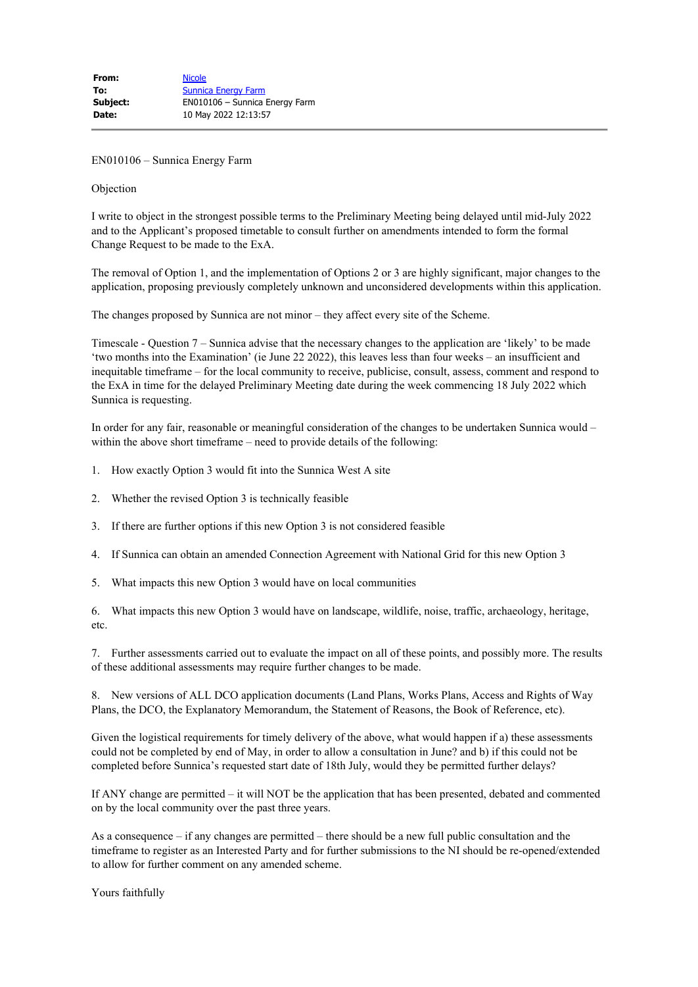EN010106 – Sunnica Energy Farm

## Objection

I write to object in the strongest possible terms to the Preliminary Meeting being delayed until mid-July 2022 and to the Applicant's proposed timetable to consult further on amendments intended to form the formal Change Request to be made to the ExA.

The removal of Option 1, and the implementation of Options 2 or 3 are highly significant, major changes to the application, proposing previously completely unknown and unconsidered developments within this application.

The changes proposed by Sunnica are not minor – they affect every site of the Scheme.

Timescale - Question 7 – Sunnica advise that the necessary changes to the application are 'likely' to be made 'two months into the Examination' (ie June 22 2022), this leaves less than four weeks – an insufficient and inequitable timeframe – for the local community to receive, publicise, consult, assess, comment and respond to the ExA in time for the delayed Preliminary Meeting date during the week commencing 18 July 2022 which Sunnica is requesting.

In order for any fair, reasonable or meaningful consideration of the changes to be undertaken Sunnica would – within the above short timeframe – need to provide details of the following:

- 1. How exactly Option 3 would fit into the Sunnica West A site
- 2. Whether the revised Option 3 is technically feasible
- 3. If there are further options if this new Option 3 is not considered feasible
- 4. If Sunnica can obtain an amended Connection Agreement with National Grid for this new Option 3
- 5. What impacts this new Option 3 would have on local communities

6. What impacts this new Option 3 would have on landscape, wildlife, noise, traffic, archaeology, heritage, etc.

7. Further assessments carried out to evaluate the impact on all of these points, and possibly more. The results of these additional assessments may require further changes to be made.

8. New versions of ALL DCO application documents (Land Plans, Works Plans, Access and Rights of Way Plans, the DCO, the Explanatory Memorandum, the Statement of Reasons, the Book of Reference, etc).

Given the logistical requirements for timely delivery of the above, what would happen if a) these assessments could not be completed by end of May, in order to allow a consultation in June? and b) if this could not be completed before Sunnica's requested start date of 18th July, would they be permitted further delays?

If ANY change are permitted – it will NOT be the application that has been presented, debated and commented on by the local community over the past three years.

As a consequence – if any changes are permitted – there should be a new full public consultation and the timeframe to register as an Interested Party and for further submissions to the NI should be re-opened/extended to allow for further comment on any amended scheme.

Yours faithfully